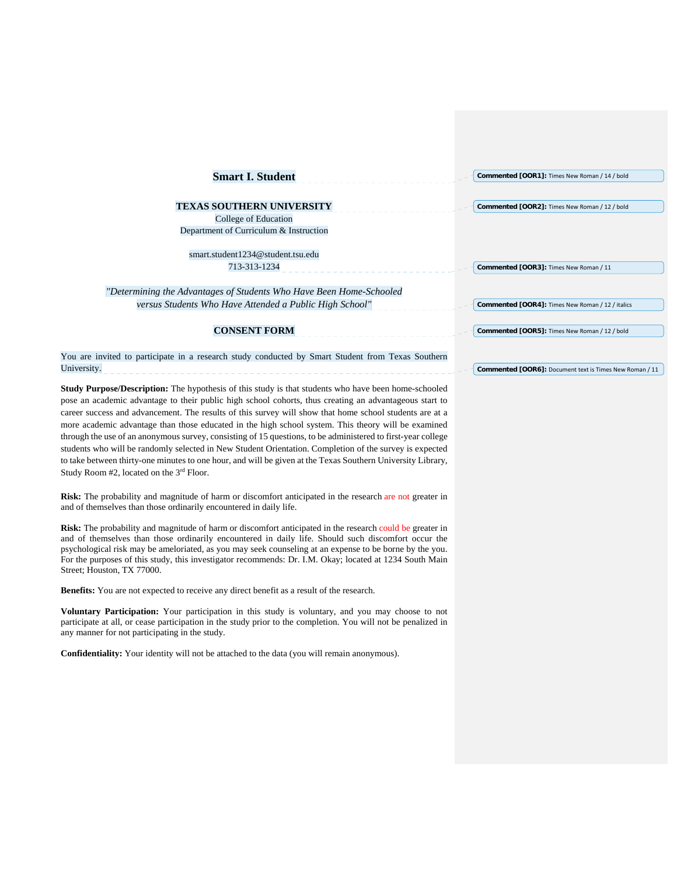| <b>Smart I. Student</b>                                                                                     | Commented [OOR1]: Times New Roman / 14 / bold           |
|-------------------------------------------------------------------------------------------------------------|---------------------------------------------------------|
|                                                                                                             |                                                         |
| <b>TEXAS SOUTHERN UNIVERSITY</b>                                                                            | Commented [OOR2]: Times New Roman / 12 / bold           |
| College of Education                                                                                        |                                                         |
| Department of Curriculum & Instruction                                                                      |                                                         |
| smart.student1234@student.tsu.edu                                                                           |                                                         |
| 713-313-1234                                                                                                | Commented [OOR3]: Times New Roman / 11                  |
| "Determining the Advantages of Students Who Have Been Home-Schooled                                         |                                                         |
| versus Students Who Have Attended a Public High School"                                                     | Commented [OOR4]: Times New Roman / 12 / italics        |
| <b>CONSENT FORM</b>                                                                                         | Commented [OOR5]: Times New Roman / 12 / bold           |
| You are invited to participate in a research study conducted by Smart Student from Texas Southern           |                                                         |
| University.                                                                                                 | Commented [OOR6]: Document text is Times New Roman / 11 |
| <b>Study Purpose/Description:</b> The hypothesis of this study is that students who have been home-schooled |                                                         |

**Study Purpose/Description:** The hypothesis of this study is that students who have been home-schooled pose an academic advantage to their public high school cohorts, thus creating an advantageous start to career success and advancement. The results of this survey will show that home school students are at a more academic advantage than those educated in the high school system. This theory will be examined through the use of an anonymous survey, consisting of 15 questions, to be administered to first-year college students who will be randomly selected in New Student Orientation. Completion of the survey is expected to take between thirty-one minutes to one hour, and will be given at the Texas Southern University Library, Study Room #2, located on the 3rd Floor.

**Risk:** The probability and magnitude of harm or discomfort anticipated in the research are not greater in and of themselves than those ordinarily encountered in daily life.

**Risk:** The probability and magnitude of harm or discomfort anticipated in the research could be greater in and of themselves than those ordinarily encountered in daily life. Should such discomfort occur the psychological risk may be ameloriated, as you may seek counseling at an expense to be borne by the you. For the purposes of this study, this investigator recommends: Dr. I.M. Okay; located at 1234 South Main Street; Houston, TX 77000.

**Benefits:** You are not expected to receive any direct benefit as a result of the research.

**Voluntary Participation:** Your participation in this study is voluntary, and you may choose to not participate at all, or cease participation in the study prior to the completion. You will not be penalized in any manner for not participating in the study.

**Confidentiality:** Your identity will not be attached to the data (you will remain anonymous).